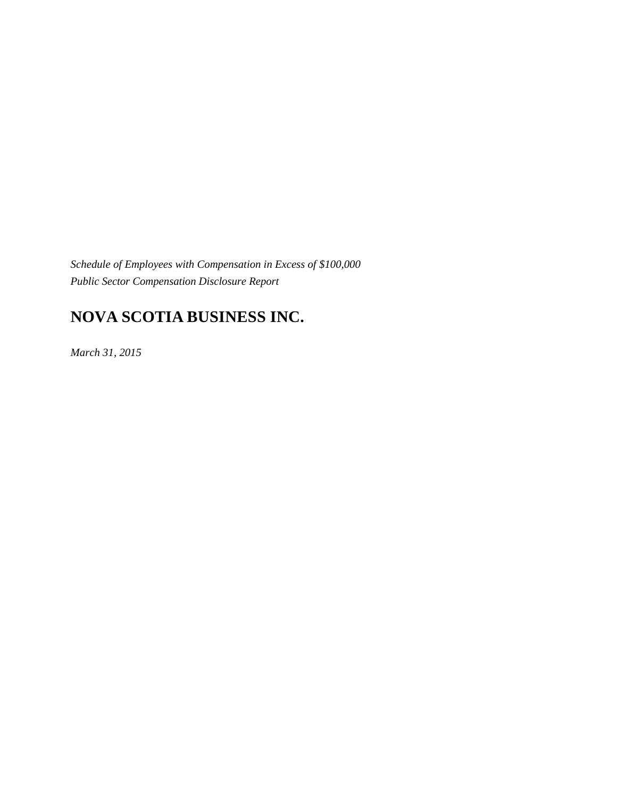*Schedule of Employees with Compensation in Excess of \$100,000 Public Sector Compensation Disclosure Report* 

## **NOVA SCOTIA BUSINESS INC.**

*March 31, 2015*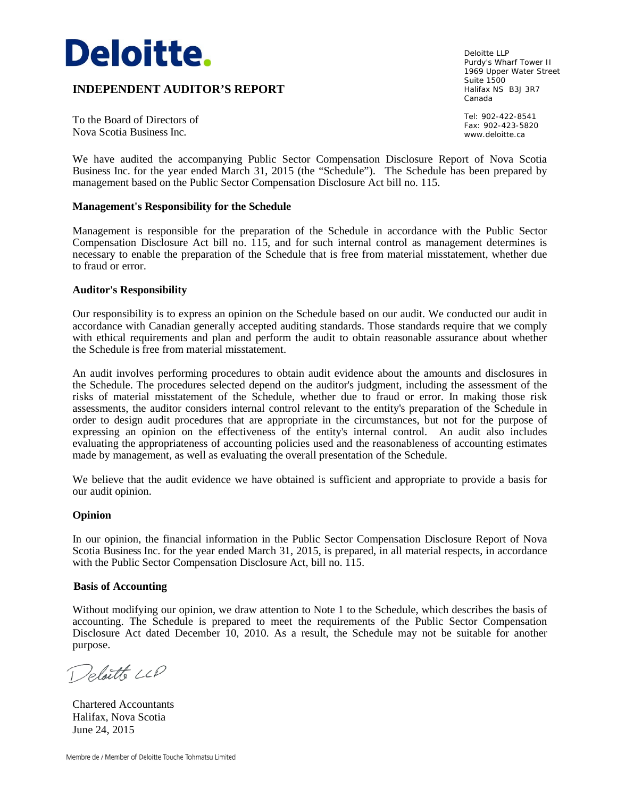# Deloitte.

#### **INDEPENDENT AUDITOR'S REPORT**

To the Board of Directors of Nova Scotia Business Inc.

Deloitte LLP Purdy's Wharf Tower II 1969 Upper Water Street Suite 1500 Halifax NS B3J 3R7 Canada

Tel: 902-422-8541 Fax: 902-423-5820 www.deloitte.ca

We have audited the accompanying Public Sector Compensation Disclosure Report of Nova Scotia Business Inc. for the year ended March 31, 2015 (the "Schedule"). The Schedule has been prepared by management based on the Public Sector Compensation Disclosure Act bill no. 115.

#### **Management's Responsibility for the Schedule**

Management is responsible for the preparation of the Schedule in accordance with the Public Sector Compensation Disclosure Act bill no. 115, and for such internal control as management determines is necessary to enable the preparation of the Schedule that is free from material misstatement, whether due to fraud or error.

#### **Auditor's Responsibility**

Our responsibility is to express an opinion on the Schedule based on our audit. We conducted our audit in accordance with Canadian generally accepted auditing standards. Those standards require that we comply with ethical requirements and plan and perform the audit to obtain reasonable assurance about whether the Schedule is free from material misstatement.

An audit involves performing procedures to obtain audit evidence about the amounts and disclosures in the Schedule. The procedures selected depend on the auditor's judgment, including the assessment of the risks of material misstatement of the Schedule, whether due to fraud or error. In making those risk assessments, the auditor considers internal control relevant to the entity's preparation of the Schedule in order to design audit procedures that are appropriate in the circumstances, but not for the purpose of expressing an opinion on the effectiveness of the entity's internal control. An audit also includes evaluating the appropriateness of accounting policies used and the reasonableness of accounting estimates made by management, as well as evaluating the overall presentation of the Schedule.

We believe that the audit evidence we have obtained is sufficient and appropriate to provide a basis for our audit opinion.

#### **Opinion**

In our opinion, the financial information in the Public Sector Compensation Disclosure Report of Nova Scotia Business Inc. for the year ended March 31, 2015, is prepared, in all material respects, in accordance with the Public Sector Compensation Disclosure Act, bill no. 115.

#### **Basis of Accounting**

Without modifying our opinion, we draw attention to Note 1 to the Schedule, which describes the basis of accounting. The Schedule is prepared to meet the requirements of the Public Sector Compensation Disclosure Act dated December 10, 2010. As a result, the Schedule may not be suitable for another purpose.

Poloitto LCD

Chartered Accountants Halifax, Nova Scotia June 24, 2015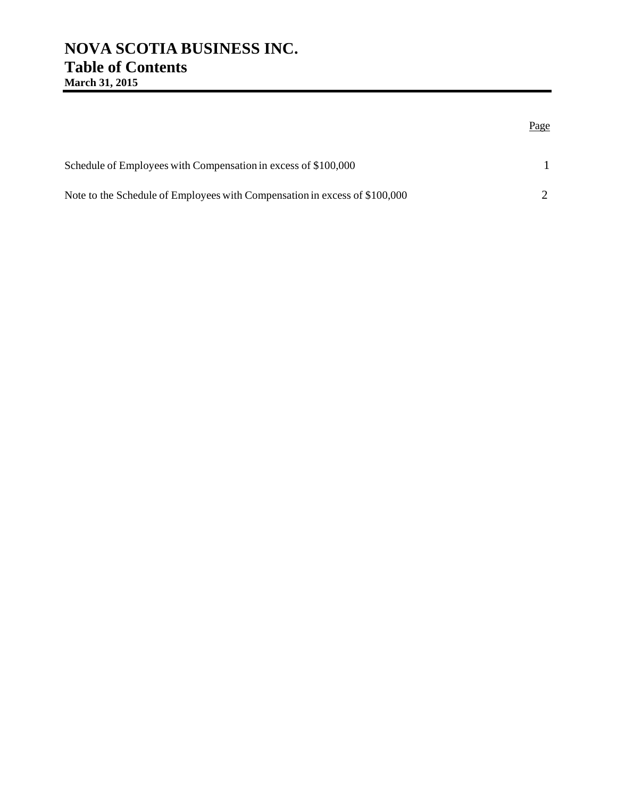## **NOVA SCOTIA BUSINESS INC. Table of Contents March 31, 2015**

| Schedule of Employees with Compensation in excess of \$100,000             |  |
|----------------------------------------------------------------------------|--|
| Note to the Schedule of Employees with Compensation in excess of \$100,000 |  |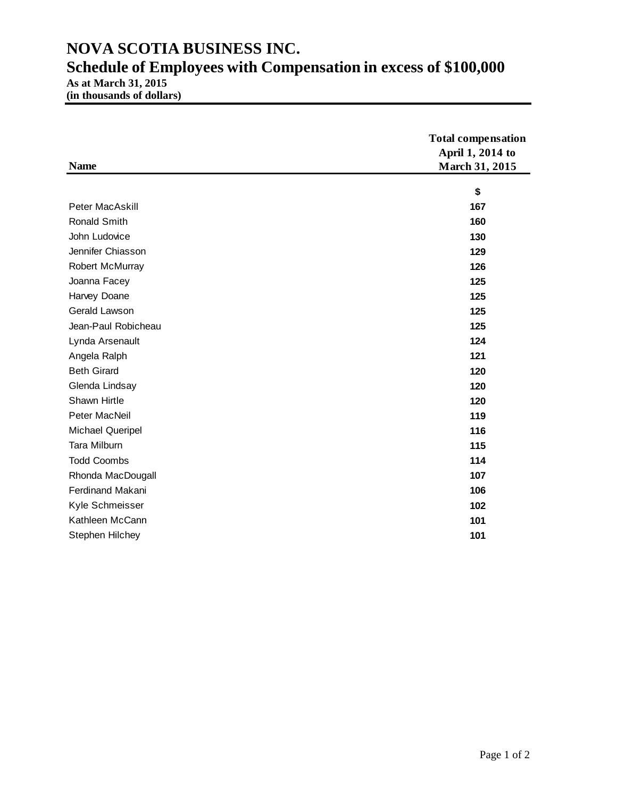### **NOVA SCOTIA BUSINESS INC. Schedule of Employees with Compensation in excess of \$100,000 As at March 31, 2015**

**(in thousands of dollars)**

| <b>Name</b>             | <b>Total compensation</b><br>April 1, 2014 to<br><b>March 31, 2015</b> |
|-------------------------|------------------------------------------------------------------------|
|                         | \$                                                                     |
| Peter MacAskill         | 167                                                                    |
| <b>Ronald Smith</b>     | 160                                                                    |
| John Ludovice           | 130                                                                    |
| Jennifer Chiasson       | 129                                                                    |
| Robert McMurray         | 126                                                                    |
| Joanna Facey            | 125                                                                    |
| Harvey Doane            | 125                                                                    |
| Gerald Lawson           | 125                                                                    |
| Jean-Paul Robicheau     | 125                                                                    |
| Lynda Arsenault         | 124                                                                    |
| Angela Ralph            | 121                                                                    |
| <b>Beth Girard</b>      | 120                                                                    |
| Glenda Lindsay          | 120                                                                    |
| Shawn Hirtle            | 120                                                                    |
| Peter MacNeil           | 119                                                                    |
| <b>Michael Queripel</b> | 116                                                                    |
| Tara Milburn            | 115                                                                    |
| <b>Todd Coombs</b>      | 114                                                                    |
| Rhonda MacDougall       | 107                                                                    |
| Ferdinand Makani        | 106                                                                    |
| Kyle Schmeisser         | 102                                                                    |
| Kathleen McCann         | 101                                                                    |
| Stephen Hilchey         | 101                                                                    |